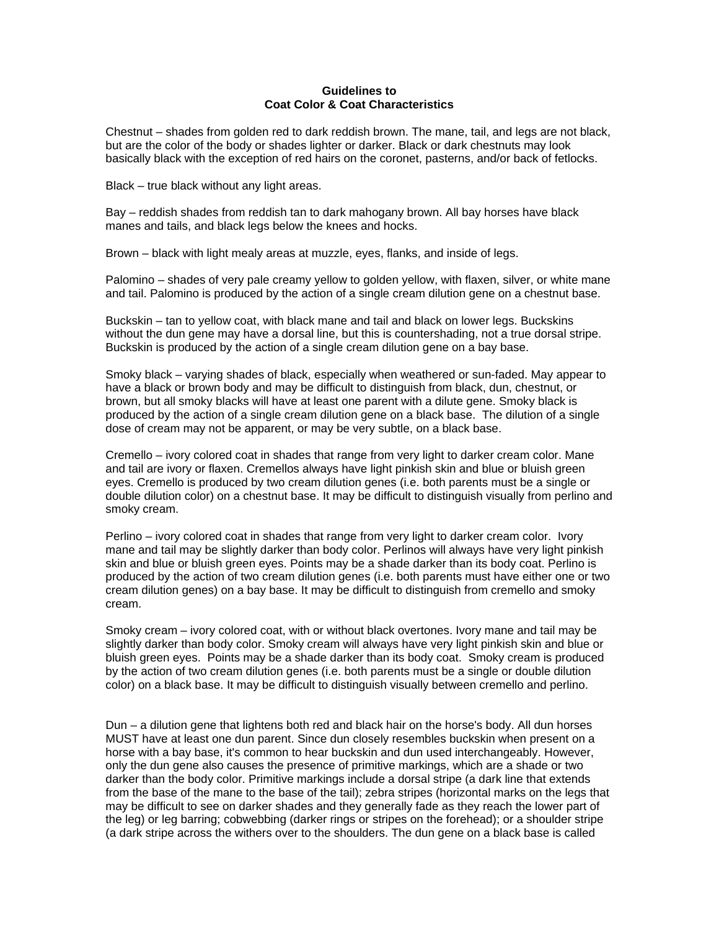## **Guidelines to Coat Color & Coat Characteristics**

Chestnut – shades from golden red to dark reddish brown. The mane, tail, and legs are not black, but are the color of the body or shades lighter or darker. Black or dark chestnuts may look basically black with the exception of red hairs on the coronet, pasterns, and/or back of fetlocks.

Black – true black without any light areas.

Bay – reddish shades from reddish tan to dark mahogany brown. All bay horses have black manes and tails, and black legs below the knees and hocks.

Brown – black with light mealy areas at muzzle, eyes, flanks, and inside of legs.

Palomino – shades of very pale creamy yellow to golden yellow, with flaxen, silver, or white mane and tail. Palomino is produced by the action of a single cream dilution gene on a chestnut base.

Buckskin – tan to yellow coat, with black mane and tail and black on lower legs. Buckskins without the dun gene may have a dorsal line, but this is countershading, not a true dorsal stripe. Buckskin is produced by the action of a single cream dilution gene on a bay base.

Smoky black – varying shades of black, especially when weathered or sun-faded. May appear to have a black or brown body and may be difficult to distinguish from black, dun, chestnut, or brown, but all smoky blacks will have at least one parent with a dilute gene. Smoky black is produced by the action of a single cream dilution gene on a black base. The dilution of a single dose of cream may not be apparent, or may be very subtle, on a black base.

Cremello – ivory colored coat in shades that range from very light to darker cream color. Mane and tail are ivory or flaxen. Cremellos always have light pinkish skin and blue or bluish green eyes. Cremello is produced by two cream dilution genes (i.e. both parents must be a single or double dilution color) on a chestnut base. It may be difficult to distinguish visually from perlino and smoky cream.

Perlino – ivory colored coat in shades that range from very light to darker cream color. Ivory mane and tail may be slightly darker than body color. Perlinos will always have very light pinkish skin and blue or bluish green eyes. Points may be a shade darker than its body coat. Perlino is produced by the action of two cream dilution genes (i.e. both parents must have either one or two cream dilution genes) on a bay base. It may be difficult to distinguish from cremello and smoky cream.

Smoky cream – ivory colored coat, with or without black overtones. Ivory mane and tail may be slightly darker than body color. Smoky cream will always have very light pinkish skin and blue or bluish green eyes. Points may be a shade darker than its body coat. Smoky cream is produced by the action of two cream dilution genes (i.e. both parents must be a single or double dilution color) on a black base. It may be difficult to distinguish visually between cremello and perlino.

Dun – a dilution gene that lightens both red and black hair on the horse's body. All dun horses MUST have at least one dun parent. Since dun closely resembles buckskin when present on a horse with a bay base, it's common to hear buckskin and dun used interchangeably. However, only the dun gene also causes the presence of primitive markings, which are a shade or two darker than the body color. Primitive markings include a dorsal stripe (a dark line that extends from the base of the mane to the base of the tail); zebra stripes (horizontal marks on the legs that may be difficult to see on darker shades and they generally fade as they reach the lower part of the leg) or leg barring; cobwebbing (darker rings or stripes on the forehead); or a shoulder stripe (a dark stripe across the withers over to the shoulders. The dun gene on a black base is called